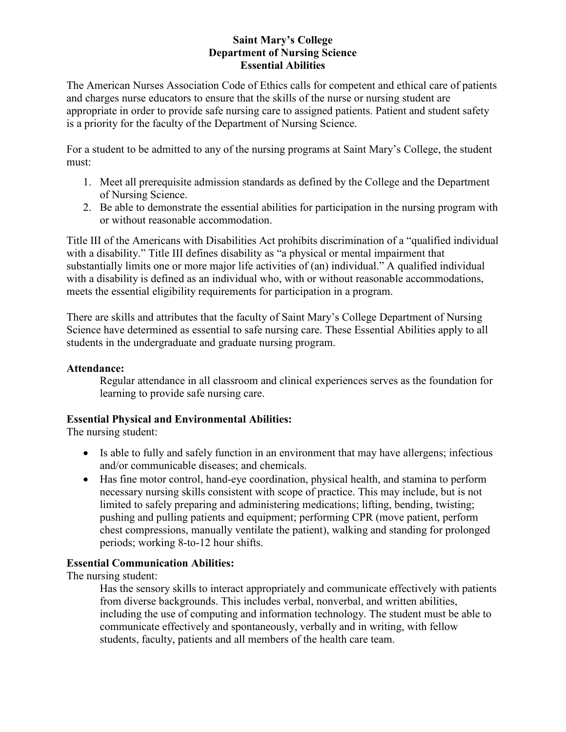### **Saint Mary's College Department of Nursing Science Essential Abilities**

The American Nurses Association Code of Ethics calls for competent and ethical care of patients and charges nurse educators to ensure that the skills of the nurse or nursing student are appropriate in order to provide safe nursing care to assigned patients. Patient and student safety is a priority for the faculty of the Department of Nursing Science.

For a student to be admitted to any of the nursing programs at Saint Mary's College, the student must:

- 1. Meet all prerequisite admission standards as defined by the College and the Department of Nursing Science.
- 2. Be able to demonstrate the essential abilities for participation in the nursing program with or without reasonable accommodation.

Title III of the Americans with Disabilities Act prohibits discrimination of a "qualified individual with a disability." Title III defines disability as "a physical or mental impairment that substantially limits one or more major life activities of (an) individual." A qualified individual with a disability is defined as an individual who, with or without reasonable accommodations, meets the essential eligibility requirements for participation in a program.

There are skills and attributes that the faculty of Saint Mary's College Department of Nursing Science have determined as essential to safe nursing care. These Essential Abilities apply to all students in the undergraduate and graduate nursing program.

# **Attendance:**

Regular attendance in all classroom and clinical experiences serves as the foundation for learning to provide safe nursing care.

# **Essential Physical and Environmental Abilities:**

The nursing student:

- Is able to fully and safely function in an environment that may have allergens; infectious and/or communicable diseases; and chemicals.
- Has fine motor control, hand-eye coordination, physical health, and stamina to perform necessary nursing skills consistent with scope of practice. This may include, but is not limited to safely preparing and administering medications; lifting, bending, twisting; pushing and pulling patients and equipment; performing CPR (move patient, perform chest compressions, manually ventilate the patient), walking and standing for prolonged periods; working 8-to-12 hour shifts.

# **Essential Communication Abilities:**

The nursing student:

Has the sensory skills to interact appropriately and communicate effectively with patients from diverse backgrounds. This includes verbal, nonverbal, and written abilities, including the use of computing and information technology. The student must be able to communicate effectively and spontaneously, verbally and in writing, with fellow students, faculty, patients and all members of the health care team.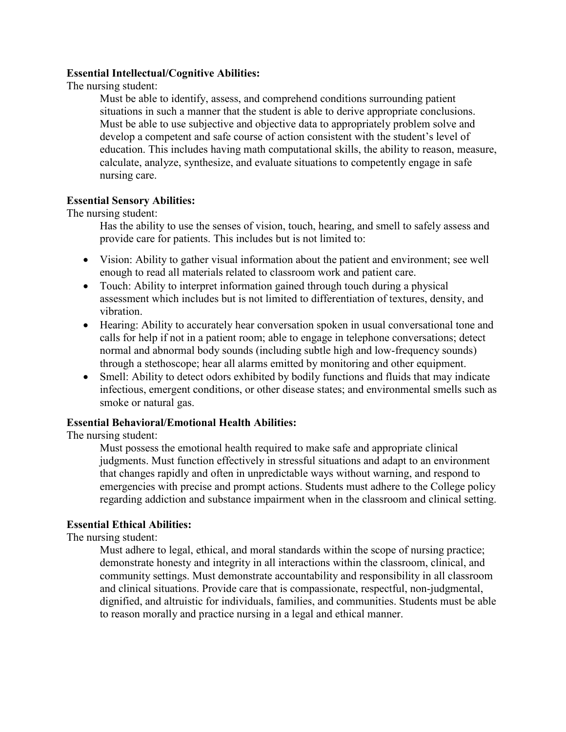#### **Essential Intellectual/Cognitive Abilities:**

The nursing student:

Must be able to identify, assess, and comprehend conditions surrounding patient situations in such a manner that the student is able to derive appropriate conclusions. Must be able to use subjective and objective data to appropriately problem solve and develop a competent and safe course of action consistent with the student's level of education. This includes having math computational skills, the ability to reason, measure, calculate, analyze, synthesize, and evaluate situations to competently engage in safe nursing care.

### **Essential Sensory Abilities:**

The nursing student:

Has the ability to use the senses of vision, touch, hearing, and smell to safely assess and provide care for patients. This includes but is not limited to:

- Vision: Ability to gather visual information about the patient and environment; see well enough to read all materials related to classroom work and patient care.
- Touch: Ability to interpret information gained through touch during a physical assessment which includes but is not limited to differentiation of textures, density, and vibration.
- Hearing: Ability to accurately hear conversation spoken in usual conversational tone and calls for help if not in a patient room; able to engage in telephone conversations; detect normal and abnormal body sounds (including subtle high and low-frequency sounds) through a stethoscope; hear all alarms emitted by monitoring and other equipment.
- Smell: Ability to detect odors exhibited by bodily functions and fluids that may indicate infectious, emergent conditions, or other disease states; and environmental smells such as smoke or natural gas.

#### **Essential Behavioral/Emotional Health Abilities:**

The nursing student:

Must possess the emotional health required to make safe and appropriate clinical judgments. Must function effectively in stressful situations and adapt to an environment that changes rapidly and often in unpredictable ways without warning, and respond to emergencies with precise and prompt actions. Students must adhere to the College policy regarding addiction and substance impairment when in the classroom and clinical setting.

# **Essential Ethical Abilities:**

The nursing student:

Must adhere to legal, ethical, and moral standards within the scope of nursing practice; demonstrate honesty and integrity in all interactions within the classroom, clinical, and community settings. Must demonstrate accountability and responsibility in all classroom and clinical situations. Provide care that is compassionate, respectful, non-judgmental, dignified, and altruistic for individuals, families, and communities. Students must be able to reason morally and practice nursing in a legal and ethical manner.